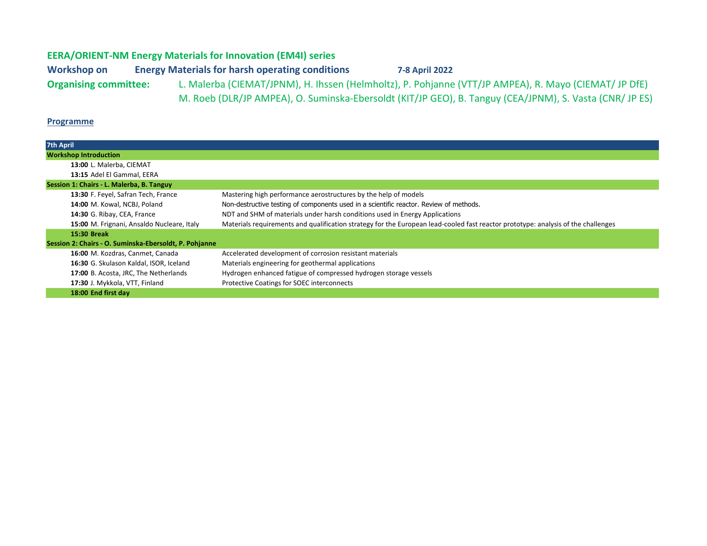## EERA/ORIENT-NM Energy Materials for Innovation (EM4I) series

Workshop on Energy Materials for harsh operating conditions 7-8 April 2022 Organising committee: L. Malerba (CIEMAT/JPNM), H. Ihssen (Helmholtz), P. Pohjanne (VTT/JP AMPEA), R. Mayo (CIEMAT/ JP DfE) M. Roeb (DLR/JP AMPEA), O. Suminska-Ebersoldt (KIT/JP GEO), B. Tanguy (CEA/JPNM), S. Vasta (CNR/ JP ES)

## **Programme**

| 7th April                                              |                                                                                                                                   |
|--------------------------------------------------------|-----------------------------------------------------------------------------------------------------------------------------------|
| <b>Workshop Introduction</b>                           |                                                                                                                                   |
| 13:00 L. Malerba, CIEMAT                               |                                                                                                                                   |
| 13:15 Adel El Gammal, EERA                             |                                                                                                                                   |
| Session 1: Chairs - L. Malerba, B. Tanguy              |                                                                                                                                   |
| 13:30 F. Feyel, Safran Tech, France                    | Mastering high performance aerostructures by the help of models                                                                   |
| 14:00 M. Kowal, NCBJ, Poland                           | Non-destructive testing of components used in a scientific reactor. Review of methods.                                            |
| 14:30 G. Ribay, CEA, France                            | NDT and SHM of materials under harsh conditions used in Energy Applications                                                       |
| 15:00 M. Frignani, Ansaldo Nucleare, Italy             | Materials requirements and qualification strategy for the European lead-cooled fast reactor prototype: analysis of the challenges |
| 15:30 Break                                            |                                                                                                                                   |
| Session 2: Chairs - O. Suminska-Ebersoldt, P. Pohjanne |                                                                                                                                   |
| 16:00 M. Kozdras, Canmet, Canada                       | Accelerated development of corrosion resistant materials                                                                          |
| 16:30 G. Skulason Kaldal, ISOR, Iceland                | Materials engineering for geothermal applications                                                                                 |
| 17:00 B. Acosta, JRC, The Netherlands                  | Hydrogen enhanced fatigue of compressed hydrogen storage vessels                                                                  |
| 17:30 J. Mykkola, VTT, Finland                         | Protective Coatings for SOEC interconnects                                                                                        |
| 18:00 End first day                                    |                                                                                                                                   |